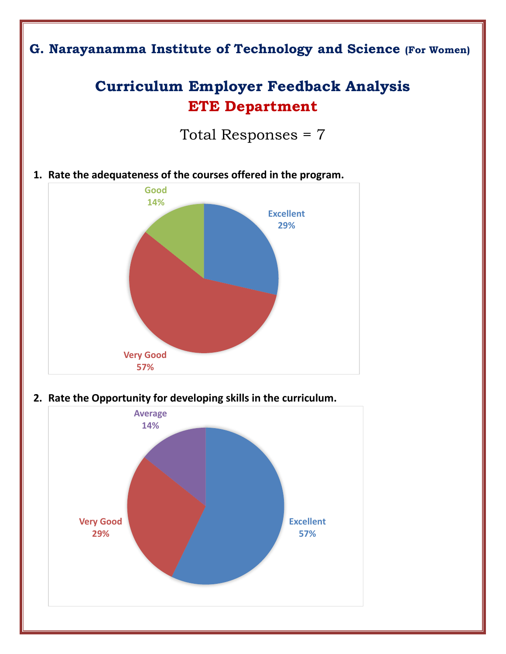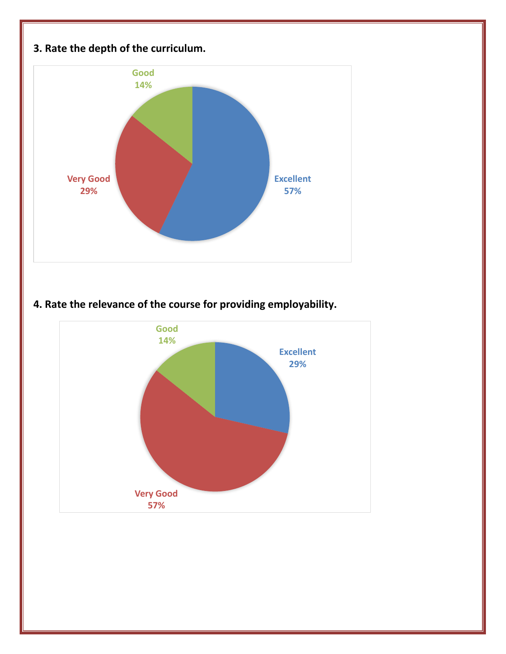

**4. Rate the relevance of the course for providing employability.** 

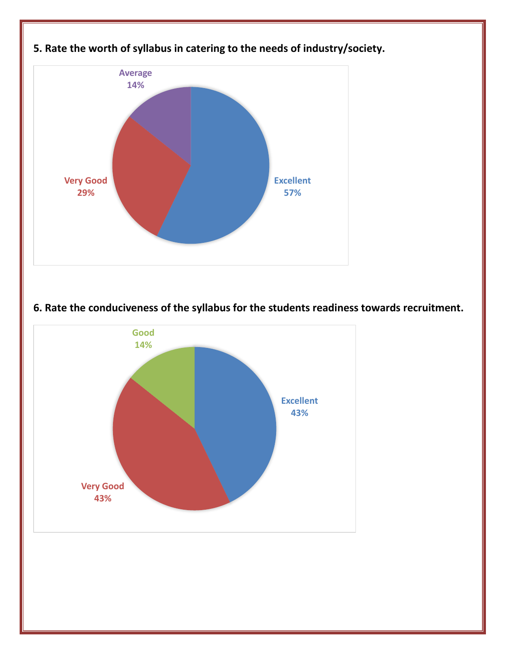

## **6. Rate the conduciveness of the syllabus for the students readiness towards recruitment.**